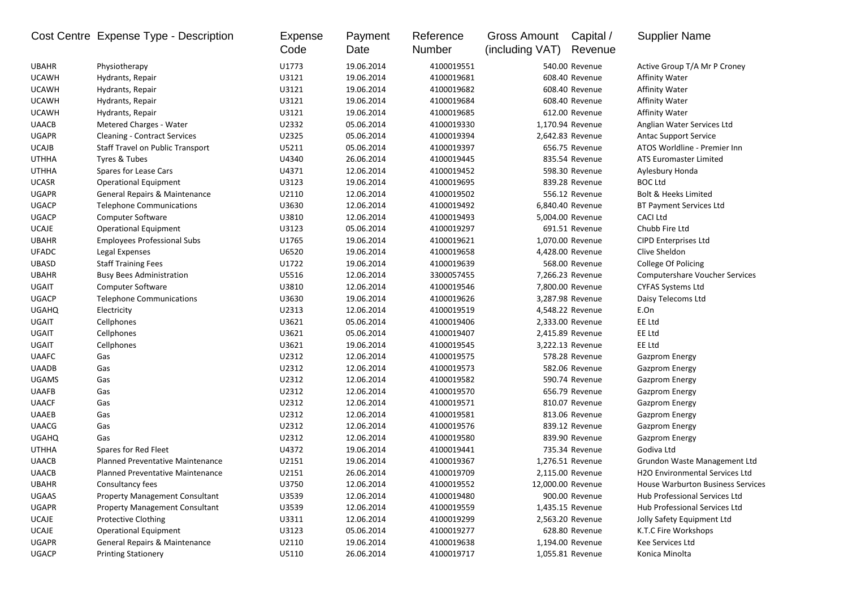|              | Cost Centre Expense Type - Description  | Expense<br>Code | Payment<br>Date | Reference<br>Number | Gross Amount<br>(including VAT) | Capital /<br>Revenue | <b>Supplier Name</b>                     |
|--------------|-----------------------------------------|-----------------|-----------------|---------------------|---------------------------------|----------------------|------------------------------------------|
| <b>UBAHR</b> | Physiotherapy                           | U1773           | 19.06.2014      | 4100019551          |                                 | 540.00 Revenue       | Active Group T/A Mr P Croney             |
| <b>UCAWH</b> | Hydrants, Repair                        | U3121           | 19.06.2014      | 4100019681          |                                 | 608.40 Revenue       | <b>Affinity Water</b>                    |
| <b>UCAWH</b> | Hydrants, Repair                        | U3121           | 19.06.2014      | 4100019682          |                                 | 608.40 Revenue       | <b>Affinity Water</b>                    |
| <b>UCAWH</b> | Hydrants, Repair                        | U3121           | 19.06.2014      | 4100019684          |                                 | 608.40 Revenue       | <b>Affinity Water</b>                    |
| <b>UCAWH</b> | Hydrants, Repair                        | U3121           | 19.06.2014      | 4100019685          |                                 | 612.00 Revenue       | <b>Affinity Water</b>                    |
| <b>UAACB</b> | Metered Charges - Water                 | U2332           | 05.06.2014      | 4100019330          |                                 | 1,170.94 Revenue     | Anglian Water Services Ltd               |
| <b>UGAPR</b> | <b>Cleaning - Contract Services</b>     | U2325           | 05.06.2014      | 4100019394          |                                 | 2,642.83 Revenue     | <b>Antac Support Service</b>             |
| <b>UCAJB</b> | Staff Travel on Public Transport        | U5211           | 05.06.2014      | 4100019397          |                                 | 656.75 Revenue       | ATOS Worldline - Premier Inn             |
| <b>UTHHA</b> | Tyres & Tubes                           | U4340           | 26.06.2014      | 4100019445          |                                 | 835.54 Revenue       | <b>ATS Euromaster Limited</b>            |
| <b>UTHHA</b> | Spares for Lease Cars                   | U4371           | 12.06.2014      | 4100019452          |                                 | 598.30 Revenue       | Aylesbury Honda                          |
| <b>UCASR</b> | <b>Operational Equipment</b>            | U3123           | 19.06.2014      | 4100019695          |                                 | 839.28 Revenue       | <b>BOC Ltd</b>                           |
| <b>UGAPR</b> | General Repairs & Maintenance           | U2110           | 12.06.2014      | 4100019502          |                                 | 556.12 Revenue       | <b>Bolt &amp; Heeks Limited</b>          |
| <b>UGACP</b> | <b>Telephone Communications</b>         | U3630           | 12.06.2014      | 4100019492          |                                 | 6,840.40 Revenue     | <b>BT Payment Services Ltd</b>           |
| <b>UGACP</b> | Computer Software                       | U3810           | 12.06.2014      | 4100019493          |                                 | 5,004.00 Revenue     | <b>CACI Ltd</b>                          |
| <b>UCAJE</b> | <b>Operational Equipment</b>            | U3123           | 05.06.2014      | 4100019297          |                                 | 691.51 Revenue       | Chubb Fire Ltd                           |
| <b>UBAHR</b> | <b>Employees Professional Subs</b>      | U1765           | 19.06.2014      | 4100019621          |                                 | 1,070.00 Revenue     | <b>CIPD Enterprises Ltd</b>              |
| <b>UFADC</b> | Legal Expenses                          | U6520           | 19.06.2014      | 4100019658          |                                 | 4,428.00 Revenue     | Clive Sheldon                            |
| <b>UBASD</b> | <b>Staff Training Fees</b>              | U1722           | 19.06.2014      | 4100019639          |                                 | 568.00 Revenue       | College Of Policing                      |
| <b>UBAHR</b> | <b>Busy Bees Administration</b>         | U5516           | 12.06.2014      | 3300057455          |                                 | 7,266.23 Revenue     | <b>Computershare Voucher Services</b>    |
| UGAIT        | Computer Software                       | U3810           | 12.06.2014      | 4100019546          |                                 | 7,800.00 Revenue     | <b>CYFAS Systems Ltd</b>                 |
| <b>UGACP</b> | <b>Telephone Communications</b>         | U3630           | 19.06.2014      | 4100019626          |                                 | 3,287.98 Revenue     | Daisy Telecoms Ltd                       |
| <b>UGAHQ</b> | Electricity                             | U2313           | 12.06.2014      | 4100019519          |                                 | 4,548.22 Revenue     | E.On                                     |
| <b>UGAIT</b> | Cellphones                              | U3621           | 05.06.2014      | 4100019406          |                                 | 2,333.00 Revenue     | EE Ltd                                   |
| UGAIT        | Cellphones                              | U3621           | 05.06.2014      | 4100019407          |                                 | 2,415.89 Revenue     | EE Ltd                                   |
| UGAIT        | Cellphones                              | U3621           | 19.06.2014      | 4100019545          |                                 | 3,222.13 Revenue     | EE Ltd                                   |
| <b>UAAFC</b> | Gas                                     | U2312           | 12.06.2014      | 4100019575          |                                 | 578.28 Revenue       | <b>Gazprom Energy</b>                    |
| <b>UAADB</b> | Gas                                     | U2312           | 12.06.2014      | 4100019573          |                                 | 582.06 Revenue       | <b>Gazprom Energy</b>                    |
| <b>UGAMS</b> | Gas                                     | U2312           | 12.06.2014      | 4100019582          |                                 | 590.74 Revenue       | <b>Gazprom Energy</b>                    |
| <b>UAAFB</b> | Gas                                     | U2312           | 12.06.2014      | 4100019570          |                                 | 656.79 Revenue       | <b>Gazprom Energy</b>                    |
| <b>UAACF</b> | Gas                                     | U2312           | 12.06.2014      | 4100019571          |                                 | 810.07 Revenue       | <b>Gazprom Energy</b>                    |
| <b>UAAEB</b> | Gas                                     | U2312           | 12.06.2014      | 4100019581          |                                 | 813.06 Revenue       | <b>Gazprom Energy</b>                    |
| <b>UAACG</b> | Gas                                     | U2312           | 12.06.2014      | 4100019576          |                                 | 839.12 Revenue       | <b>Gazprom Energy</b>                    |
| <b>UGAHQ</b> | Gas                                     | U2312           | 12.06.2014      | 4100019580          |                                 | 839.90 Revenue       | <b>Gazprom Energy</b>                    |
| <b>UTHHA</b> | Spares for Red Fleet                    | U4372           | 19.06.2014      | 4100019441          |                                 | 735.34 Revenue       | Godiva Ltd                               |
| <b>UAACB</b> | <b>Planned Preventative Maintenance</b> | U2151           | 19.06.2014      | 4100019367          |                                 | 1,276.51 Revenue     | Grundon Waste Management Ltd             |
| <b>UAACB</b> | <b>Planned Preventative Maintenance</b> | U2151           | 26.06.2014      | 4100019709          |                                 | 2,115.00 Revenue     | <b>H2O Environmental Services Ltd</b>    |
| <b>UBAHR</b> | Consultancy fees                        | U3750           | 12.06.2014      | 4100019552          |                                 | 12,000.00 Revenue    | <b>House Warburton Business Services</b> |
| UGAAS        | <b>Property Management Consultant</b>   | U3539           | 12.06.2014      | 4100019480          |                                 | 900.00 Revenue       | Hub Professional Services Ltd            |
| <b>UGAPR</b> | <b>Property Management Consultant</b>   | U3539           | 12.06.2014      | 4100019559          |                                 | 1,435.15 Revenue     | Hub Professional Services Ltd            |
| <b>UCAJE</b> | <b>Protective Clothing</b>              | U3311           | 12.06.2014      | 4100019299          |                                 | 2,563.20 Revenue     | Jolly Safety Equipment Ltd               |
| <b>UCAJE</b> | <b>Operational Equipment</b>            | U3123           | 05.06.2014      | 4100019277          |                                 | 628.80 Revenue       | K.T.C Fire Workshops                     |
| <b>UGAPR</b> | General Repairs & Maintenance           | U2110           | 19.06.2014      | 4100019638          |                                 | 1,194.00 Revenue     | Kee Services Ltd                         |
| <b>UGACP</b> | <b>Printing Stationery</b>              | U5110           | 26.06.2014      | 4100019717          |                                 | 1,055.81 Revenue     | Konica Minolta                           |
|              |                                         |                 |                 |                     |                                 |                      |                                          |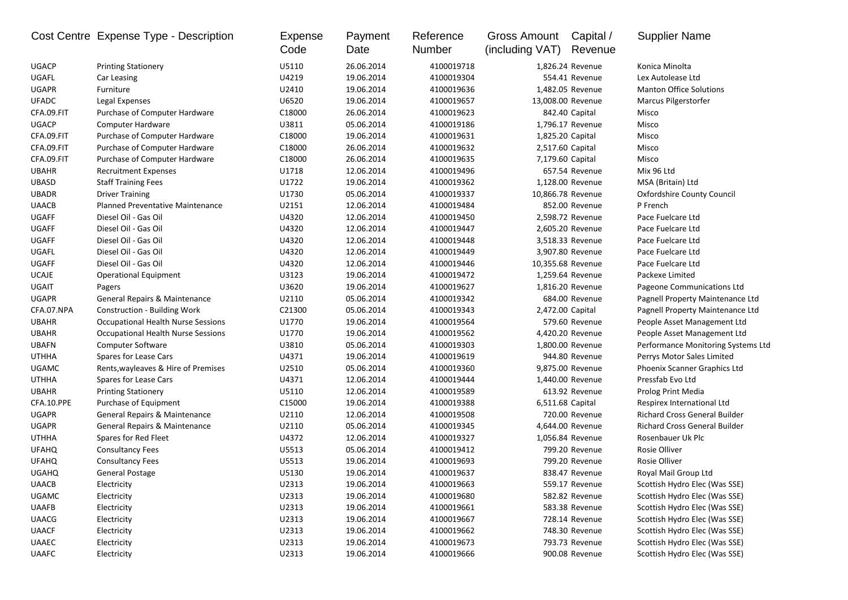|              | Cost Centre Expense Type - Description   | <b>Expense</b><br>Code | Payment<br>Date | Reference<br>Number | Gross Amount<br>(including VAT) | Capital /<br>Revenue | <b>Supplier Name</b>                 |
|--------------|------------------------------------------|------------------------|-----------------|---------------------|---------------------------------|----------------------|--------------------------------------|
| <b>UGACP</b> | <b>Printing Stationery</b>               | U5110                  | 26.06.2014      | 4100019718          |                                 | 1,826.24 Revenue     | Konica Minolta                       |
| UGAFL        | Car Leasing                              | U4219                  | 19.06.2014      | 4100019304          |                                 | 554.41 Revenue       | Lex Autolease Ltd                    |
| <b>UGAPR</b> | Furniture                                | U2410                  | 19.06.2014      | 4100019636          |                                 | 1,482.05 Revenue     | <b>Manton Office Solutions</b>       |
| <b>UFADC</b> | Legal Expenses                           | U6520                  | 19.06.2014      | 4100019657          |                                 | 13,008.00 Revenue    | Marcus Pilgerstorfer                 |
| CFA.09.FIT   | Purchase of Computer Hardware            | C18000                 | 26.06.2014      | 4100019623          |                                 | 842.40 Capital       | Misco                                |
| <b>UGACP</b> | Computer Hardware                        | U3811                  | 05.06.2014      | 4100019186          |                                 | 1,796.17 Revenue     | Misco                                |
| CFA.09.FIT   | Purchase of Computer Hardware            | C18000                 | 19.06.2014      | 4100019631          |                                 | 1,825.20 Capital     | Misco                                |
| CFA.09.FIT   | Purchase of Computer Hardware            | C18000                 | 26.06.2014      | 4100019632          |                                 | 2,517.60 Capital     | Misco                                |
| CFA.09.FIT   | Purchase of Computer Hardware            | C18000                 | 26.06.2014      | 4100019635          |                                 | 7,179.60 Capital     | Misco                                |
| <b>UBAHR</b> | <b>Recruitment Expenses</b>              | U1718                  | 12.06.2014      | 4100019496          |                                 | 657.54 Revenue       | Mix 96 Ltd                           |
| <b>UBASD</b> | <b>Staff Training Fees</b>               | U1722                  | 19.06.2014      | 4100019362          |                                 | 1,128.00 Revenue     | MSA (Britain) Ltd                    |
| <b>UBADR</b> | <b>Driver Training</b>                   | U1730                  | 05.06.2014      | 4100019337          |                                 | 10,866.78 Revenue    | Oxfordshire County Council           |
| <b>UAACB</b> | <b>Planned Preventative Maintenance</b>  | U2151                  | 12.06.2014      | 4100019484          |                                 | 852.00 Revenue       | P French                             |
| <b>UGAFF</b> | Diesel Oil - Gas Oil                     | U4320                  | 12.06.2014      | 4100019450          |                                 | 2,598.72 Revenue     | Pace Fuelcare Ltd                    |
| <b>UGAFF</b> | Diesel Oil - Gas Oil                     | U4320                  | 12.06.2014      | 4100019447          |                                 | 2,605.20 Revenue     | Pace Fuelcare Ltd                    |
| UGAFF        | Diesel Oil - Gas Oil                     | U4320                  | 12.06.2014      | 4100019448          |                                 | 3,518.33 Revenue     | Pace Fuelcare Ltd                    |
| UGAFL        | Diesel Oil - Gas Oil                     | U4320                  | 12.06.2014      | 4100019449          |                                 | 3,907.80 Revenue     | Pace Fuelcare Ltd                    |
| <b>UGAFF</b> | Diesel Oil - Gas Oil                     | U4320                  | 12.06.2014      | 4100019446          |                                 | 10,355.68 Revenue    | Pace Fuelcare Ltd                    |
| <b>UCAJE</b> | <b>Operational Equipment</b>             | U3123                  | 19.06.2014      | 4100019472          |                                 | 1,259.64 Revenue     | Packexe Limited                      |
| <b>UGAIT</b> | Pagers                                   | U3620                  | 19.06.2014      | 4100019627          |                                 | 1,816.20 Revenue     | Pageone Communications Ltd           |
| <b>UGAPR</b> | <b>General Repairs &amp; Maintenance</b> | U2110                  | 05.06.2014      | 4100019342          |                                 | 684.00 Revenue       | Pagnell Property Maintenance Ltd     |
| CFA.07.NPA   | <b>Construction - Building Work</b>      | C21300                 | 05.06.2014      | 4100019343          |                                 | 2,472.00 Capital     | Pagnell Property Maintenance Ltd     |
| <b>UBAHR</b> | Occupational Health Nurse Sessions       | U1770                  | 19.06.2014      | 4100019564          |                                 | 579.60 Revenue       | People Asset Management Ltd          |
| <b>UBAHR</b> | Occupational Health Nurse Sessions       | U1770                  | 19.06.2014      | 4100019562          |                                 | 4,420.20 Revenue     | People Asset Management Ltd          |
| <b>UBAFN</b> | <b>Computer Software</b>                 | U3810                  | 05.06.2014      | 4100019303          |                                 | 1,800.00 Revenue     | Performance Monitoring Systems Ltd   |
| <b>UTHHA</b> | Spares for Lease Cars                    | U4371                  | 19.06.2014      | 4100019619          |                                 | 944.80 Revenue       | Perrys Motor Sales Limited           |
| <b>UGAMC</b> | Rents, wayleaves & Hire of Premises      | U2510                  | 05.06.2014      | 4100019360          |                                 | 9,875.00 Revenue     | Phoenix Scanner Graphics Ltd         |
| <b>UTHHA</b> | Spares for Lease Cars                    | U4371                  | 12.06.2014      | 4100019444          |                                 | 1,440.00 Revenue     | Pressfab Evo Ltd                     |
| <b>UBAHR</b> | <b>Printing Stationery</b>               | U5110                  | 12.06.2014      | 4100019589          |                                 | 613.92 Revenue       | Prolog Print Media                   |
| CFA.10.PPE   | Purchase of Equipment                    | C15000                 | 19.06.2014      | 4100019388          |                                 | 6,511.68 Capital     | Respirex International Ltd           |
| <b>UGAPR</b> | General Repairs & Maintenance            | U2110                  | 12.06.2014      | 4100019508          |                                 | 720.00 Revenue       | <b>Richard Cross General Builder</b> |
| <b>UGAPR</b> | General Repairs & Maintenance            | U2110                  | 05.06.2014      | 4100019345          |                                 | 4,644.00 Revenue     | <b>Richard Cross General Builder</b> |
| <b>UTHHA</b> | Spares for Red Fleet                     | U4372                  | 12.06.2014      | 4100019327          |                                 | 1,056.84 Revenue     | Rosenbauer Uk Plc                    |
| <b>UFAHQ</b> | <b>Consultancy Fees</b>                  | U5513                  | 05.06.2014      | 4100019412          |                                 | 799.20 Revenue       | Rosie Olliver                        |
| <b>UFAHQ</b> | <b>Consultancy Fees</b>                  | U5513                  | 19.06.2014      | 4100019693          |                                 | 799.20 Revenue       | Rosie Olliver                        |
| <b>UGAHQ</b> | General Postage                          | U5130                  | 19.06.2014      | 4100019637          |                                 | 838.47 Revenue       | Royal Mail Group Ltd                 |
| <b>UAACB</b> | Electricity                              | U2313                  | 19.06.2014      | 4100019663          |                                 | 559.17 Revenue       | Scottish Hydro Elec (Was SSE)        |
| <b>UGAMC</b> | Electricity                              | U2313                  | 19.06.2014      | 4100019680          |                                 | 582.82 Revenue       | Scottish Hydro Elec (Was SSE)        |
| <b>UAAFB</b> | Electricity                              | U2313                  | 19.06.2014      | 4100019661          |                                 | 583.38 Revenue       | Scottish Hydro Elec (Was SSE)        |
| <b>UAACG</b> | Electricity                              | U2313                  | 19.06.2014      | 4100019667          |                                 | 728.14 Revenue       | Scottish Hydro Elec (Was SSE)        |
| <b>UAACF</b> | Electricity                              | U2313                  | 19.06.2014      | 4100019662          |                                 | 748.30 Revenue       | Scottish Hydro Elec (Was SSE)        |
| UAAEC        | Electricity                              | U2313                  | 19.06.2014      | 4100019673          |                                 | 793.73 Revenue       | Scottish Hydro Elec (Was SSE)        |
| UAAFC        | Electricity                              | U2313                  | 19.06.2014      | 4100019666          |                                 | 900.08 Revenue       | Scottish Hydro Elec (Was SSE)        |
|              |                                          |                        |                 |                     |                                 |                      |                                      |